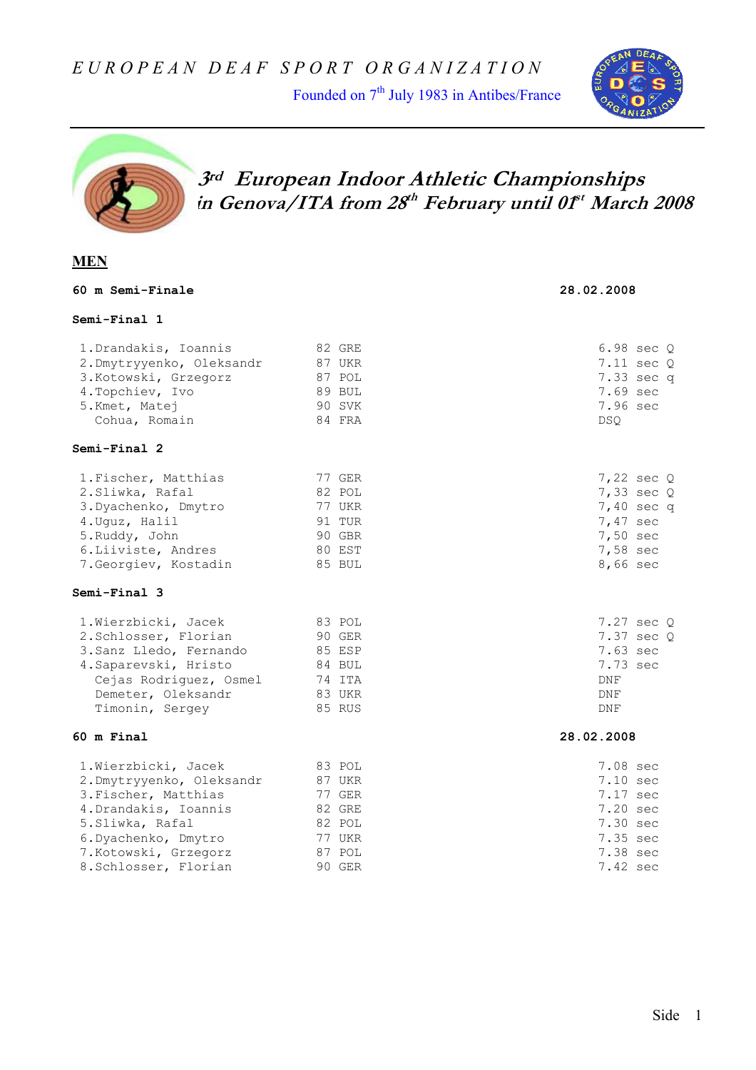Founded on  $7<sup>th</sup>$  July 1983 in Antibes/France





### **3rd European Indoor Athletic Championships in Genova/ITA from 28th February until 01st March 2008**

#### **MEN**

### **Semi-Final 1** 1.Drandakis, Ioannis 82 GRE 6.98 sec Q 2.Dmytryyenko, Oleksandr 87 UKR 7.11 sec Q 3.Kotowski, Grzegorz 87 POL 7.33 sec q 4.Topchiev, Ivo 89 BUL 7.69 sec 5.Kmet, Matej 90 SVK 7.96 sec Cohua, Romain 84 FRA DSQ **Semi-Final 2**  1.Fischer, Matthias 77 GER<br>
2.Sliwka, Rafal<br>
3.Dyachenko, Dmytro 77 UKR<br>
4.Uguz, Halil<br>
5.Ruddy, John 90 GBR<br>
6.Liiviste, Andres 80 EST<br>
7.50 sec 7.Georgiev, Kostadin<br>
85 BUL<br>
86 GER<br>
86 GER<br>
86 GER<br>
86 GER<br>
86 GER<br>
86 GER 2.Sliwka, Rafal 82 POL 82 POL 7,33 sec Q 3.Dyachenko, Dmytro 77 UKR 7,40 sec q 4.Uguz, Halil 91 TUR 7,47 sec 5.Ruddy, John 90 GBR 7,50 sec ة المرة المرة المرة المرة المرة المرة المرة المرة المرة المرة المرة المرة المرة المرة المرة المرة المرة المرة ا<br>7,58 sec 7.Georgiev, Kostadin and The South State of South State State State State State State State State St 7.Georgiev, Kostadin **Semi-Final 3**  1.Wierzbicki, Jacek 83 POL 7.27 sec Q 2.Schlosser, Florian 90 GER 7.37 sec Q 3.Sanz Lledo, Fernando 85 ESP 7.63 sec 4. Saparevski, Hristo 84 BUL 7.73 sec Saparevski, Hristo (1994)<br>Cejas Rodriguez, Osmel (1994)<br>Demeter, Oleksandr (1994)<br>DNF Demeter, Oleksandr (1994)<br>DNF (1995)<br>DNF (1995)<br>DNF (1995)<br>DNF (1995)<br>DNF (1995)<br>DNF (1996) Demeter, Oleksandr Timonin, Sergey 85 RUS 85 RUS 85 RUS 2012 12:30 RMF **60 m Final 28.02.2008**  1.Wierzbicki, Jacek 83 POL 7.08 sec 2.Dmytryyenko, Oleksandr 87 UKR 7.10 sec 3.Fischer, Matthias 77 GER 7.17 sec 4.Drandakis, Ioannis 82 GRE 7.20 sec 5.Sliwka, Rafal 82 POL 7.30 sec 6.Dyachenko, Dmytro 77 UKR 7.35 sec<br>
7.Kotowski, Grzegorz 87 POL 7.38 sec<br>
8.Schlosser, Florian 90 GER 7.42 sec 7.Kotowski, Grzegorz 87 POL 7.38 sec 8.Schlosser, Florian 90 GER 7.42 sec

**60 m Semi-Finale 28.02.2008**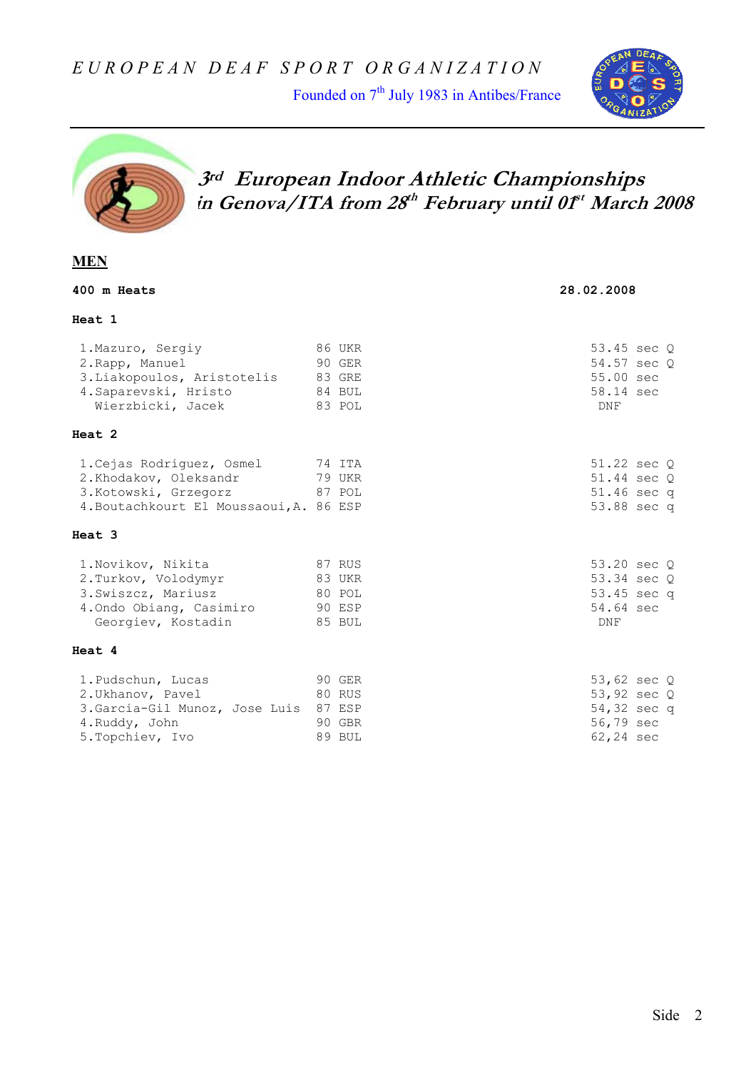Founded on 7<sup>th</sup> July 1983 in Antibes/France





# **3rd European Indoor Athletic Championships in Genova/ITA from 28th February until 01st March 2008**

#### **MEN**

| 400 m Heats                                                                                                                   |                                                | 28.02.2008                                                            |
|-------------------------------------------------------------------------------------------------------------------------------|------------------------------------------------|-----------------------------------------------------------------------|
| Heat 1                                                                                                                        |                                                |                                                                       |
| 1. Mazuro, Sergiy<br>2. Rapp, Manuel<br>3. Liakopoulos, Aristotelis<br>4. Saparevski, Hristo<br>Wierzbicki, Jacek             | 86 UKR<br>90 GER<br>83 GRE<br>84 BUL<br>83 POL | 53.45 sec Q<br>54.57 sec 0<br>55.00 sec<br>58.14 sec<br>DNF           |
| Heat 2                                                                                                                        |                                                |                                                                       |
| 1. Cejas Rodriguez, Osmel 74 ITA<br>2.Khodakov, Oleksandr<br>3. Kotowski, Grzegorz<br>4. Boutachkourt El Moussaoui, A. 86 ESP | 79 UKR<br>87 POL                               | 51.22 sec Q<br>51.44 sec Q<br>51.46 sec q<br>53.88 sec q              |
| Heat 3                                                                                                                        |                                                |                                                                       |
| 1. Novikov, Nikita<br>2. Turkov, Volodymyr<br>3. Swiszcz, Mariusz<br>4. Ondo Obiang, Casimiro<br>Georgiev, Kostadin           | 87 RUS<br>83 UKR<br>80 POL<br>90 ESP<br>85 BUL | 53.20 sec Q<br>53.34 sec Q<br>53.45 sec q<br>54.64 sec<br>DNF         |
| Heat 4                                                                                                                        |                                                |                                                                       |
| 1. Pudschun, Lucas<br>2. Ukhanov, Pavel<br>3. Garcia-Gil Munoz, Jose Luis 87 ESP<br>4.Ruddy, John<br>5. Topchiev, Ivo         | 90 GER<br>80 RUS<br>90 GBR<br>89 BUL           | 53,62 sec Q<br>53,92 $sec Q$<br>54,32 sec q<br>56,79 sec<br>62,24 sec |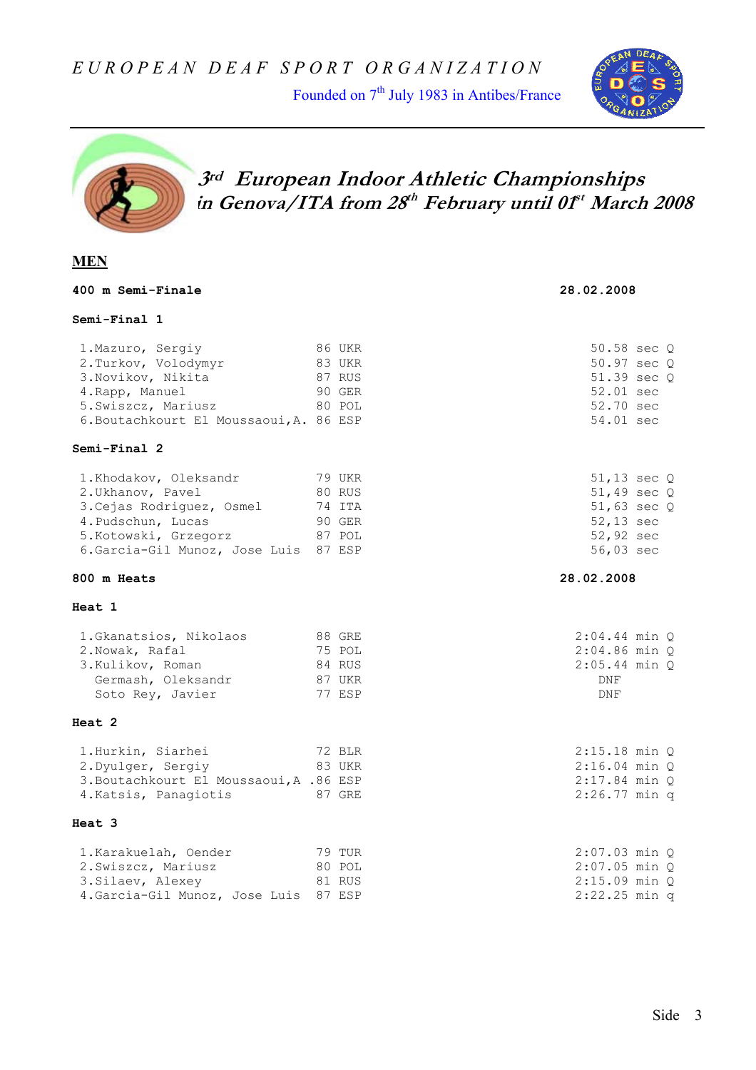Founded on 7<sup>th</sup> July 1983 in Antibes/France





# **3rd European Indoor Athletic Championships in Genova/ITA from 28th February until 01st March 2008**

#### **MEN**

| 400 m Semi-Finale                                                                                                                                               |                                                | 28.02.2008                                                                                  |
|-----------------------------------------------------------------------------------------------------------------------------------------------------------------|------------------------------------------------|---------------------------------------------------------------------------------------------|
| Semi-Final 1                                                                                                                                                    |                                                |                                                                                             |
| 1. Mazuro, Sergiy<br>2. Turkov, Volodymyr<br>3. Novikov, Nikita<br>4. Rapp, Manuel<br>5. Swiszcz, Mariusz<br>6. Boutachkourt El Moussaoui, A. 86 ESP            | 86 UKR<br>83 UKR<br>87 RUS<br>90 GER<br>80 POL | 50.58 sec Q<br>50.97 sec 0<br>51.39 sec 0<br>52.01 sec<br>52.70 sec<br>54.01 sec            |
| Semi-Final 2                                                                                                                                                    |                                                |                                                                                             |
| 1.Khodakov, Oleksandr<br>2. Ukhanov, Pavel<br>3. Cejas Rodriguez, Osmel<br>4. Pudschun, Lucas<br>5. Kotowski, Grzegorz<br>6. Garcia-Gil Munoz, Jose Luis 87 ESP | 79 UKR<br>80 RUS<br>74 ITA<br>90 GER<br>87 POL | $51,13 \text{ sec } Q$<br>51,49 sec Q<br>51,63 sec Q<br>52,13 sec<br>52,92 sec<br>56,03 sec |
| 800 m Heats                                                                                                                                                     |                                                | 28.02.2008                                                                                  |
| Heat 1                                                                                                                                                          |                                                |                                                                                             |
| 1.Gkanatsios, Nikolaos<br>2. Nowak, Rafal<br>3.Kulikov, Roman<br>Germash, Oleksandr<br>Soto Rey, Javier                                                         | 88 GRE<br>75 POL<br>84 RUS<br>87 UKR<br>77 ESP | $2:04.44$ min $O$<br>$2:04.86$ min $Q$<br>$2:05.44$ min $Q$<br>DNF<br>DNF                   |
| Heat 2                                                                                                                                                          |                                                |                                                                                             |
| 1.Hurkin, Siarhei<br>2. Dyulger, Sergiy<br>3. Boutachkourt El Moussaoui, A .86 ESP<br>4. Katsis, Panagiotis                                                     | 72 BLR<br>83 UKR<br>87 GRE                     | $2:15.18$ min $Q$<br>$2:16.04$ min O<br>$2:17.84$ min $Q$<br>$2:26.77$ min q                |
| Heat 3                                                                                                                                                          |                                                |                                                                                             |
| 1.Karakuelah, Oender<br>2. Swiszcz, Mariusz<br>3. Silaev, Alexey<br>4. Garcia-Gil Munoz, Jose Luis                                                              | 79 TUR<br>80 POL<br>81 RUS<br>87 ESP           | $2:07.03$ min $Q$<br>$2:07.05$ min Q<br>$2:15.09$ min $Q$<br>$2:22.25$ min q                |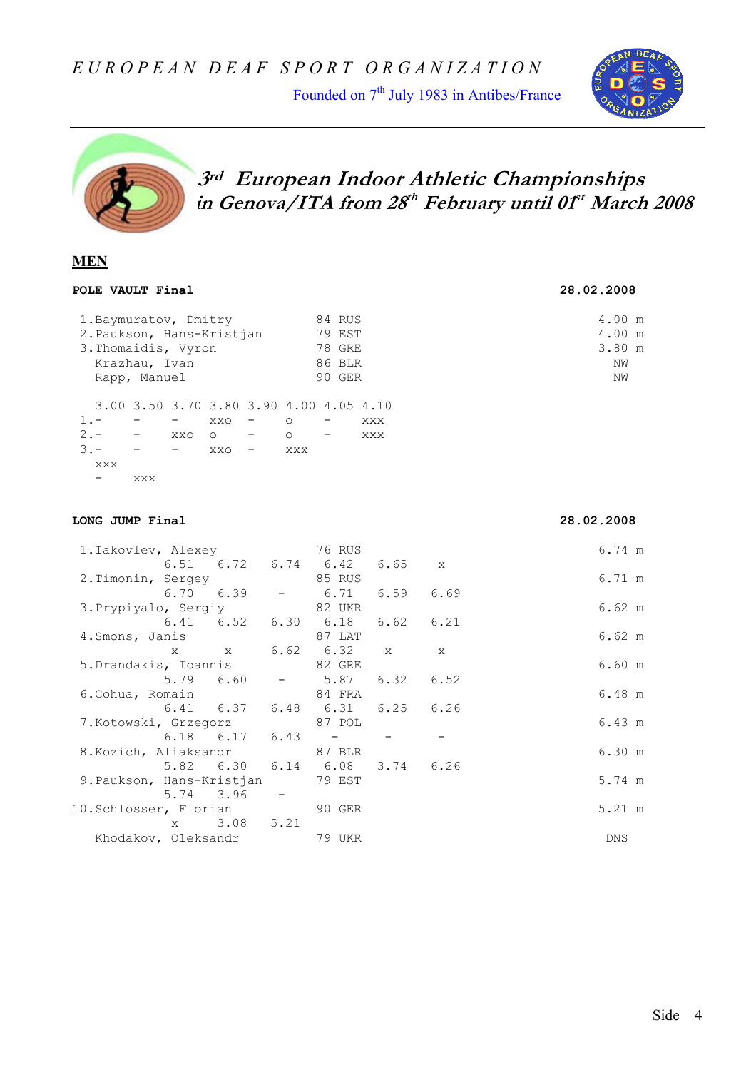Founded on 7<sup>th</sup> July 1983 in Antibes/France





# **3rd European Indoor Athletic Championships in Genova/ITA from 28th February until 01st March 2008**

#### **MEN**

| POLE VAULT Final                                                          |                                                                                                               |                                                      |                       |                                                                           |                           |                               |                                                |            |  |  | 28.02.2008 |              |                    |        |
|---------------------------------------------------------------------------|---------------------------------------------------------------------------------------------------------------|------------------------------------------------------|-----------------------|---------------------------------------------------------------------------|---------------------------|-------------------------------|------------------------------------------------|------------|--|--|------------|--------------|--------------------|--------|
| 1. Baymuratov, Dmitry<br>2. Paukson, Hans-Kristjan<br>3. Thomaidis, Vyron | Krazhau, Ivan<br>Rapp, Manuel                                                                                 |                                                      |                       |                                                                           |                           |                               | 84 RUS<br>79 EST<br>78 GRE<br>86 BLR<br>90 GER |            |  |  |            | 4.00<br>4.00 | 3.80 m<br>ΝW<br>ΝW | m<br>m |
| $1 -$<br>$2 -$<br>$3 -$<br>XXX<br>-                                       | 3.00 3.50 3.70 3.80 3.90 4.00 4.05 4.10<br>$\overline{\phantom{m}}$<br>$-$<br>$\overline{\phantom{a}}$<br>XXX | $\qquad \qquad -$<br>XXO<br>$\overline{\phantom{0}}$ | XXO<br>$\circ$<br>XXO | $\qquad \qquad -$<br>$\overline{\phantom{m}}$<br>$\overline{\phantom{m}}$ | $\circ$<br>$\circ$<br>XXX | -<br>$\overline{\phantom{m}}$ |                                                | XXX<br>XXX |  |  |            |              |                    |        |

#### **LONG JUMP Final 28.02.2008**

| 1.Iakovlev, Alexey           |           |             | 76 RUS                                    |              | 6.74 m           |
|------------------------------|-----------|-------------|-------------------------------------------|--------------|------------------|
|                              |           |             | 6.51 6.72 6.74 6.42 6.65 x                |              |                  |
| 2. Timonin, Sergey 85 RUS    |           |             |                                           |              | 6.71 m           |
|                              |           |             | $6.70$ $6.39$ $ 6.71$ $6.59$ $6.69$       |              |                  |
| 3. Prypiyalo, Sergiy 82 UKR  |           |             |                                           |              | $6.62 \text{ m}$ |
|                              |           |             | $6.41$ $6.52$ $6.30$ $6.18$ $6.62$ $6.21$ |              |                  |
| 4. Smons, Janis 87 LAT       |           |             |                                           |              | $6.62 \text{ m}$ |
|                              |           |             | x x 6.62 6.32 x                           | $\mathbf{x}$ |                  |
| 5. Drandakis, Ioannis 82 GRE |           |             |                                           |              | 6.60 m           |
|                              |           |             | $5.79$ 6.60 - 5.87 6.32 6.52              |              |                  |
| 6.Cohua, Romain              |           |             | 84 FRA                                    |              | $6.48$ m         |
|                              |           |             | 6.41 6.37 6.48 6.31 6.25 6.26             |              |                  |
| 7. Kotowski, Grzegorz 87 POL |           |             |                                           |              | 6.43 m           |
|                              |           |             | $6.18$ $6.17$ $6.43$ $ -$                 |              |                  |
| 8. Kozich, Aliaksandr 87 BLR |           |             |                                           |              | 6.30 m           |
|                              |           |             | 5.82 6.30 6.14 6.08 3.74 6.26             |              |                  |
| 9. Paukson, Hans-Kristjan    |           |             | 79 EST                                    |              | 5.74 m           |
|                              | 5.74 3.96 |             |                                           |              |                  |
| 10.Schlosser, Florian        |           |             | 90 GER                                    |              | $5.21 \text{ m}$ |
|                              |           | x 3.08 5.21 |                                           |              |                  |
| Khodakov, Oleksandr          |           |             | 79 UKR                                    |              | DNS              |
|                              |           |             |                                           |              |                  |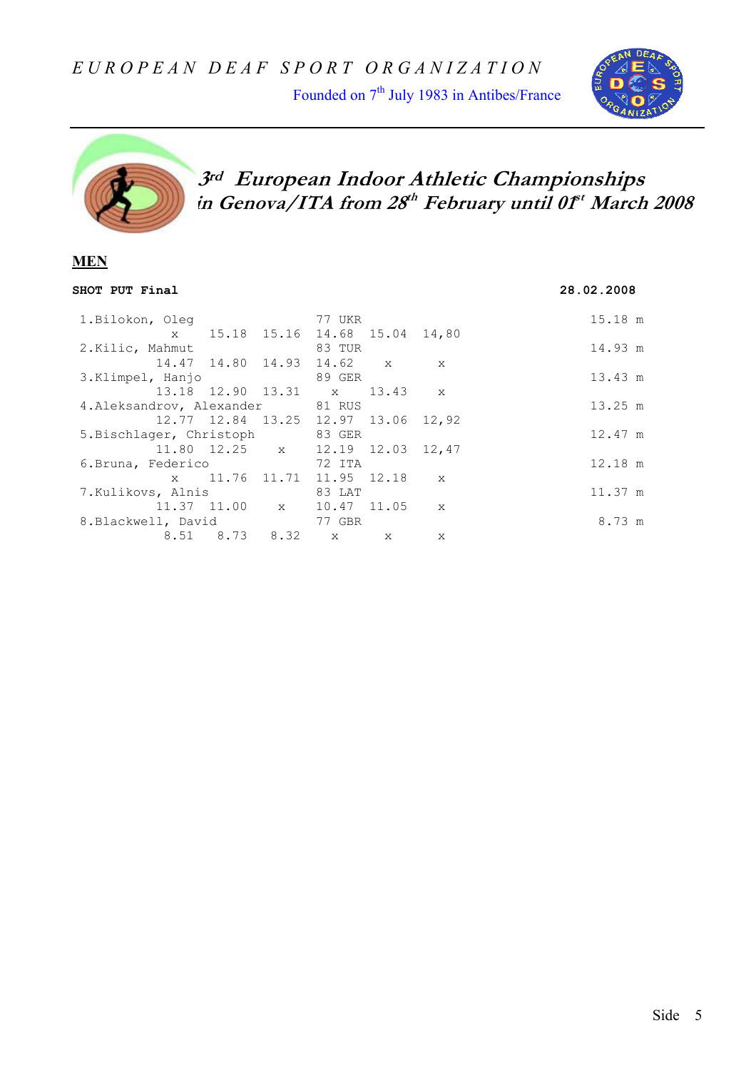Founded on 7<sup>th</sup> July 1983 in Antibes/France





# **3rd European Indoor Athletic Championships in Genova/ITA from 28th February until 01st March 2008**

#### **MEN**

| <b>SHOT PUT Final</b>            |                |                                     |              |              | 28.02.2008 |
|----------------------------------|----------------|-------------------------------------|--------------|--------------|------------|
| 1.Bilokon, Oleg                  |                | 77 UKR                              |              |              | $15.18$ m  |
|                                  |                | x 15.18 15.16 14.68 15.04 14,80     |              |              |            |
| 2. Kilic, Mahmut                 |                | 83 TUR                              |              |              | 14.93 m    |
|                                  |                | 14.47 14.80 14.93 14.62 x           |              | $\mathbf{x}$ |            |
| 3.Klimpel, Hanjo                 |                | 89 GER                              |              |              | 13.43 m    |
|                                  |                | 13.18 12.90 13.31 x 13.43 x         |              |              |            |
| 4. Aleksandrov, Alexander 81 RUS |                |                                     |              |              | 13.25 m    |
|                                  |                | 12.77 12.84 13.25 12.97 13.06 12.92 |              |              |            |
| 5. Bischlager, Christoph 83 GER  |                |                                     |              |              | $12.47$ m  |
|                                  |                | 11.80 12.25 x 12.19 12.03 12,47     |              |              |            |
| 6. Bruna, Federico               |                | 72 ITA                              |              |              | $12.18$ m  |
|                                  |                | x 11.76 11.71 11.95 12.18           |              | $\mathbf{x}$ |            |
| 7.Kulikovs, Alnis                |                | 83 LAT                              |              |              | 11.37 m    |
|                                  |                | 11.37 11.00 x 10.47 11.05           |              | $\mathbf{x}$ |            |
| 8. Blackwell, David              |                | 77 GBR                              |              |              | 8.73 m     |
|                                  | 8.51 8.73 8.32 | $\mathbf{X}$                        | $\mathbf{x}$ | X            |            |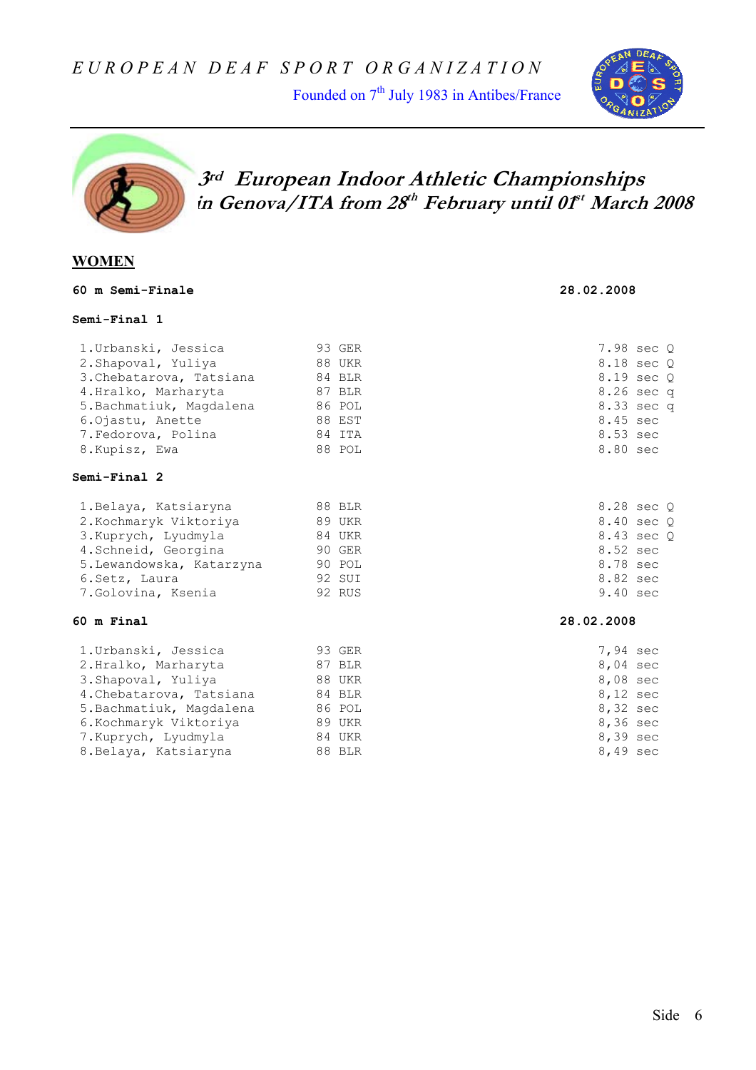Founded on 7<sup>th</sup> July 1983 in Antibes/France





# **3rd European Indoor Athletic Championships in Genova/ITA from 28th February until 01st March 2008**

#### **WOMEN**

| Semi-Final 1              |        |                      |
|---------------------------|--------|----------------------|
| 1. Urbanski, Jessica      | 93 GER | 7.98 sec Q           |
| 2. Shapoval, Yuliya       | 88 UKR | 8.18 sec Q           |
| 3. Chebatarova, Tatsiana  | 84 BLR | 8.19 sec Q           |
| 4.Hralko, Marharyta       | 87 BLR | $8.26 \text{ sec}$ q |
| 5. Bachmatiuk, Magdalena  | 86 POL | 8.33 sec q           |
| 6. Ojastu, Anette         | 88 EST | 8.45 sec             |
| 7. Fedorova, Polina       | 84 ITA | 8.53 sec             |
| 8. Kupisz, Ewa            | 88 POL | 8.80 sec             |
| Semi-Final 2              |        |                      |
| 1.Belaya, Katsiaryna      | 88 BLR | 8.28 sec Q           |
| 2. Kochmaryk Viktoriya    | 89 UKR | 8.40 sec Q           |
| 3. Kuprych, Lyudmyla      | 84 UKR | 8.43 sec 0           |
| 4. Schneid, Georgina      | 90 GER | 8.52 sec             |
| 5. Lewandowska, Katarzyna | 90 POL | 8.78 sec             |
| 6. Setz, Laura            | 92 SUI | 8.82 sec             |
| 7.Golovina, Ksenia        | 92 RUS | 9.40 sec             |
| $60$ m Final              |        | 28.02.2008           |
| 1. Urbanski, Jessica      | 93 GER | 7,94 sec             |
| 2.Hralko, Marharyta       | 87 BLR | 8,04 sec             |
| 3. Shapoval, Yuliya       | 88 UKR | 8,08 sec             |
| 4. Chebatarova, Tatsiana  | 84 BLR | $8,12 \text{ sec}$   |
| 5. Bachmatiuk, Magdalena  | 86 POL | 8,32 sec             |
| 6.Kochmaryk Viktoriya     | 89 UKR | 8,36 sec             |
| 7. Kuprych, Lyudmyla      | 84 UKR | 8,39 sec             |

8.Belaya, Katsiaryna 88 BLR 8,49 sec

**60 m Semi-Finale 28.02.2008**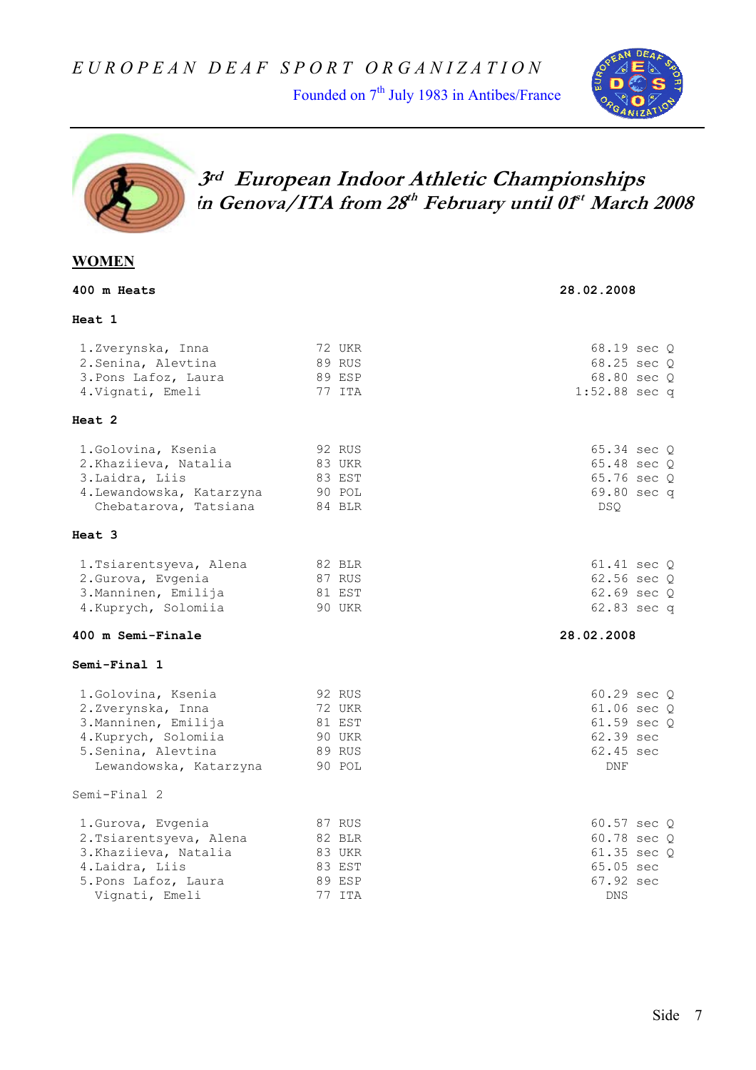Founded on 7<sup>th</sup> July 1983 in Antibes/France





 **3rd European Indoor Athletic Championships in Genova/ITA from 28th February until 01st March 2008** 

#### **WOMEN**

| 400 m Heats                                                                                                                              |                                                          | 28.02.2008                                                                                   |  |  |  |  |
|------------------------------------------------------------------------------------------------------------------------------------------|----------------------------------------------------------|----------------------------------------------------------------------------------------------|--|--|--|--|
| <b>Heat 1</b>                                                                                                                            |                                                          |                                                                                              |  |  |  |  |
| 1.Zverynska, Inna<br>2. Senina, Alevtina<br>3. Pons Lafoz, Laura<br>4. Vignati, Emeli                                                    | 72 UKR<br>89 RUS<br>89 ESP<br>77 ITA                     | 68.19 sec Q<br>68.25 sec Q<br>68.80 sec Q<br>$1:52.88$ sec q                                 |  |  |  |  |
| Heat 2                                                                                                                                   |                                                          |                                                                                              |  |  |  |  |
| 1.Golovina, Ksenia<br>2. Khaziieva, Natalia<br>3. Laidra, Liis<br>4. Lewandowska, Katarzyna<br>Chebatarova, Tatsiana                     | 92 RUS<br>83 UKR<br>83 EST<br>90 POL<br>84 BLR           | 65.34 sec 0<br>65.48 sec O<br>65.76 sec Q<br>69.80 sec q<br>DSQ                              |  |  |  |  |
| Heat 3                                                                                                                                   |                                                          |                                                                                              |  |  |  |  |
| 1. Tsiarentsyeva, Alena<br>2. Gurova, Evgenia<br>3. Manninen, Emilija<br>4. Kuprych, Solomiia                                            | 82 BLR<br>87 RUS<br>81 EST<br><b>90 UKR</b>              | 61.41 sec Q<br>$62.56 \text{ sec } Q$<br>$62.69 \text{ sec } 0$<br>62.83 sec q               |  |  |  |  |
| 400 m Semi-Finale                                                                                                                        |                                                          | 28.02.2008                                                                                   |  |  |  |  |
| Semi-Final 1                                                                                                                             |                                                          |                                                                                              |  |  |  |  |
| 1.Golovina, Ksenia<br>2.Zverynska, Inna<br>3. Manninen, Emilija<br>4. Kuprych, Solomiia<br>5. Senina, Alevtina<br>Lewandowska, Katarzyna | 92 RUS<br>72 UKR<br>81 EST<br>90 UKR<br>89 RUS<br>90 POL | 60.29 sec 0<br>61.06 sec Q<br>$61.59 \text{ sec } 0$<br>62.39 sec<br>62.45 sec<br>DNF        |  |  |  |  |
| Semi-Final 2                                                                                                                             |                                                          |                                                                                              |  |  |  |  |
| 1. Gurova, Evgenia<br>2. Tsiarentsyeva, Alena<br>3. Khaziieva, Natalia<br>4. Laidra, Liis<br>5. Pons Lafoz, Laura<br>Vignati, Emeli      | 87 RUS<br>82 BLR<br>83 UKR<br>83 EST<br>89 ESP<br>77 ITA | 60.57 sec Q<br>60.78 sec Q<br>$61.35 \text{ sec } Q$<br>65.05 sec<br>67.92 sec<br><b>DNS</b> |  |  |  |  |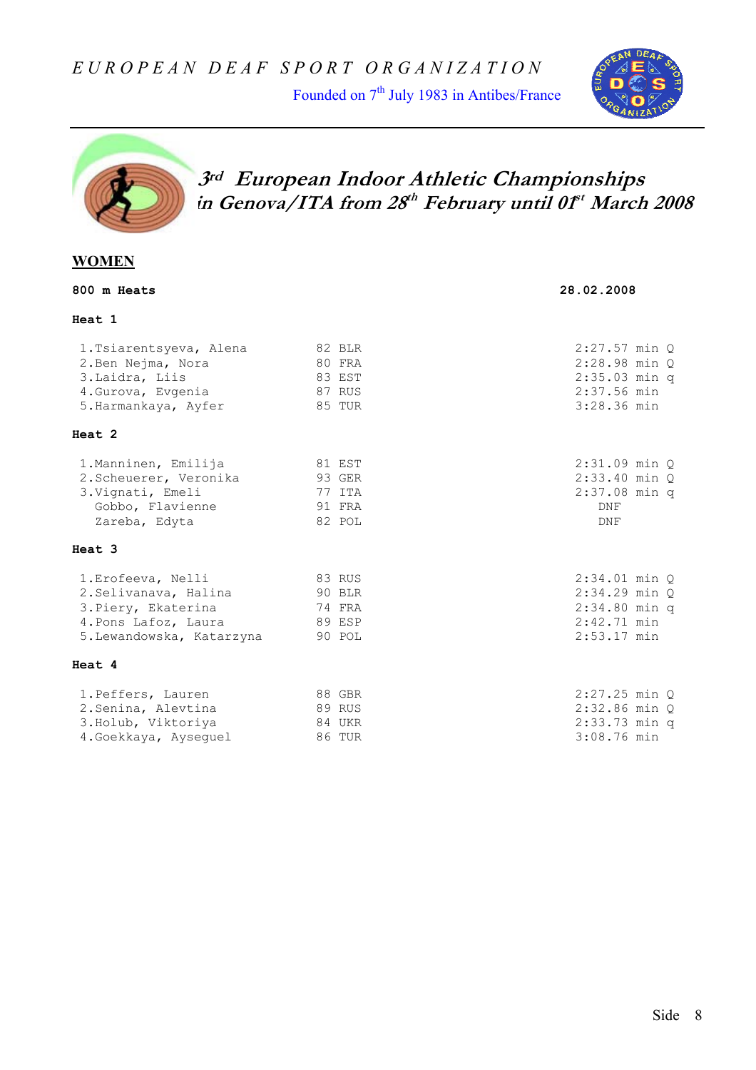Founded on 7<sup>th</sup> July 1983 in Antibes/France





# **3rd European Indoor Athletic Championships in Genova/ITA from 28th February until 01st March 2008**

### **WOMEN**

#### **800 m Heats 28.02.2008**

#### **Heat 1**

| 1.Tsiarentsyeva, Alena    | 82 BLR        | $2:27.57$ min $Q$ |
|---------------------------|---------------|-------------------|
| 2. Ben Nejma, Nora        | <b>80 FRA</b> | $2:28.98$ min $Q$ |
| 3. Laidra, Liis           | 83 EST        | $2:35.03$ min q   |
| 4. Gurova, Evgenia        | 87 RUS        | $2:37.56$ min     |
| 5.Harmankaya, Ayfer       | 85 TUR        | 3:28.36 min       |
| Heat 2                    |               |                   |
| 1. Manninen, Emilija      | 81 EST        | $2:31.09$ min $O$ |
| 2. Scheuerer, Veronika    | 93 GER        | $2:33.40$ min $Q$ |
| 3. Vignati, Emeli         | 77 ITA        | $2:37.08$ min q   |
| Gobbo, Flavienne          | 91 FRA        | DNF               |
| Zareba, Edyta             | 82 POL        | DNF               |
| Heat 3                    |               |                   |
| 1. Erofeeva, Nelli        | 83 RUS        | $2:34.01$ min $O$ |
| 2. Selivanava, Halina     | 90 BLR        | $2:34.29$ min O   |
| 3. Piery, Ekaterina       | 74 FRA        | $2:34.80$ min q   |
| 4. Pons Lafoz, Laura      | 89 ESP        | $2:42.71$ min     |
| 5. Lewandowska, Katarzyna | 90 POL        | $2:53.17$ min     |
| Heat 4                    |               |                   |
| 1. Peffers, Lauren        | 88 GBR        | $2:27.25$ min $O$ |
| 2. Senina, Alevtina       | 89 RUS        | $2:32.86$ min $O$ |
| 3. Holub, Viktoriya       | 84 UKR        | $2:33.73$ min q   |
| 4. Goekkaya, Aysequel     | 86 TUR        | 3:08.76 min       |
|                           |               |                   |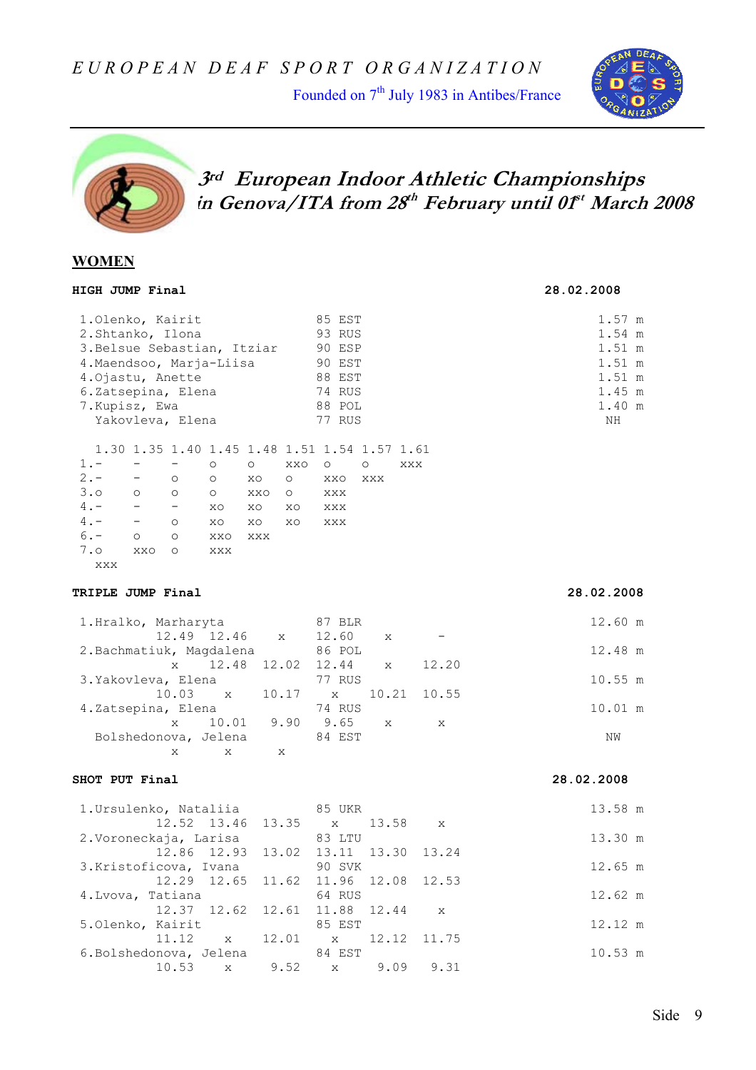Founded on 7<sup>th</sup> July 1983 in Antibes/France





# **3rd European Indoor Athletic Championships in Genova/ITA from 28th February until 01st March 2008**

#### **WOMEN**

| HIGH JUMP Final                                         |                                 |                                                            |                                                         |                      |         |                                                                              |             |       | 28.02.2008                                                                 |
|---------------------------------------------------------|---------------------------------|------------------------------------------------------------|---------------------------------------------------------|----------------------|---------|------------------------------------------------------------------------------|-------------|-------|----------------------------------------------------------------------------|
| 1.Olenko, Kairit<br>4. Ojastu, Anette<br>7. Kupisz, Ewa |                                 | 2.Shtanko, Ilona<br>6.Zatsepina, Elena<br>Yakovleva, Elena | 3. Belsue Sebastian, Itziar<br>4. Maendsoo, Marja-Liisa |                      |         | 85 EST<br>93 RUS<br>90 ESP<br>90 EST<br>88 EST<br>74 RUS<br>88 POL<br>77 RUS |             |       | 1.57 m<br>1.54 m<br>1.51 m<br>1.51 m<br>$1.51$ m<br>1.45 m<br>1.40 m<br>ΝH |
|                                                         |                                 |                                                            |                                                         |                      |         | 1.30 1.35 1.40 1.45 1.48 1.51 1.54 1.57 1.61                                 |             |       |                                                                            |
| $1. -$<br>$2. -$                                        |                                 | $\overline{\phantom{a}}$                                   | $\circ$                                                 | $\circ$              | XXO     | $\circ$                                                                      | $\circ$     | XXX   |                                                                            |
|                                                         | $\frac{1}{2}$ and $\frac{1}{2}$ | $\circ$<br>$\circ$                                         | $\circ$<br>$\circ$                                      | XO<br>XXO O          | $\circ$ | XXO<br>XXX                                                                   | XXX         |       |                                                                            |
| $3.0$ 0<br>$4 - -$                                      | $\circ$                         | $\sim$ $-$                                                 | XO                                                      | XO                   | XO      | XXX                                                                          |             |       |                                                                            |
| $4. - - - 0$                                            |                                 |                                                            | XO XO                                                   | XO                   |         | XXX                                                                          |             |       |                                                                            |
| $6. - 0$                                                |                                 | $\circ$                                                    | XXO XXX                                                 |                      |         |                                                                              |             |       |                                                                            |
| 7.0                                                     | XXO                             | $\circ$                                                    | XXX                                                     |                      |         |                                                                              |             |       |                                                                            |
| XXX                                                     |                                 |                                                            |                                                         |                      |         |                                                                              |             |       |                                                                            |
|                                                         |                                 |                                                            |                                                         |                      |         |                                                                              |             |       |                                                                            |
| TRIPLE JUMP Final                                       |                                 |                                                            |                                                         |                      |         |                                                                              |             |       | 28.02.2008                                                                 |
|                                                         |                                 | 1.Hralko, Marharyta                                        |                                                         |                      |         | 87 BLR<br>12.49 12.46 x 12.60                                                | X           | $-$   | 12.60 m                                                                    |
|                                                         |                                 |                                                            | 2. Bachmatiuk, Magdalena                                |                      |         | 86 POL                                                                       |             |       | 12.48 m                                                                    |
|                                                         |                                 | X                                                          |                                                         |                      |         | 12.48 12.02 12.44                                                            | $\mathbf x$ | 12.20 |                                                                            |
|                                                         |                                 | 3. Yakovleva, Elena                                        |                                                         |                      |         | 77 RUS                                                                       |             |       | 10.55 m                                                                    |
|                                                         |                                 | 10.03                                                      | $\mathbf x$                                             |                      |         | 10.17 x 10.21                                                                |             | 10.55 |                                                                            |
|                                                         |                                 |                                                            | 4.Zatsepina, Elena                                      |                      |         | 74 RUS                                                                       |             |       | $10.01$ m                                                                  |
|                                                         |                                 | $\mathbf{X}$                                               | 10.01                                                   |                      |         | 9.90 9.65                                                                    | X           | X     |                                                                            |
|                                                         |                                 |                                                            |                                                         | Bolshedonova, Jelena |         | 84 EST                                                                       |             |       | NW                                                                         |
|                                                         |                                 | $\mathbf{x}$                                               | X                                                       | X                    |         |                                                                              |             |       |                                                                            |
| SHOT PUT Final                                          |                                 |                                                            |                                                         |                      |         |                                                                              |             |       | 28.02.2008                                                                 |
|                                                         |                                 |                                                            |                                                         |                      |         | 1. Ursulenko, Nataliia 65 UKR                                                |             |       | 13.58 m                                                                    |
|                                                         |                                 |                                                            |                                                         | 12.52 13.46 13.35 x  |         |                                                                              | 13.58       | X     |                                                                            |
|                                                         |                                 |                                                            | 2. Voroneckaja, Larisa                                  |                      |         | 83 LTU                                                                       |             |       | 13.30 m                                                                    |
|                                                         |                                 |                                                            |                                                         |                      |         | 12.86 12.93 13.02 13.11 13.30 13.24                                          |             |       |                                                                            |
|                                                         |                                 |                                                            | 3. Kristoficova, Ivana                                  |                      |         | 90 SVK                                                                       |             |       | 12.65 m                                                                    |
|                                                         |                                 | 12.29                                                      | 12.65                                                   | 11.62                |         | 11.96                                                                        | 12.08       | 12.53 |                                                                            |
|                                                         |                                 | 4. Lvova, Tatiana                                          |                                                         |                      |         | 64 RUS                                                                       |             |       | 12.62 m                                                                    |
|                                                         |                                 | 12.37                                                      | 12.62                                                   | 12.61                |         | 11.88                                                                        | 12.44       | X     |                                                                            |
| 5.Olenko, Kairit                                        |                                 |                                                            |                                                         |                      |         | 85 EST                                                                       |             |       | 12.12 m                                                                    |
|                                                         |                                 | 11.12                                                      | X                                                       | 12.01                |         | $\mathbf x$                                                                  | 12.12       | 11.75 |                                                                            |
|                                                         |                                 |                                                            | 6. Bolshedonova, Jelena                                 |                      |         | 84 EST                                                                       |             |       | 10.53 m                                                                    |
|                                                         |                                 | 10.53                                                      | $\mathbf X$                                             | 9.52                 |         | $\mathbf X$                                                                  | 9.09        | 9.31  |                                                                            |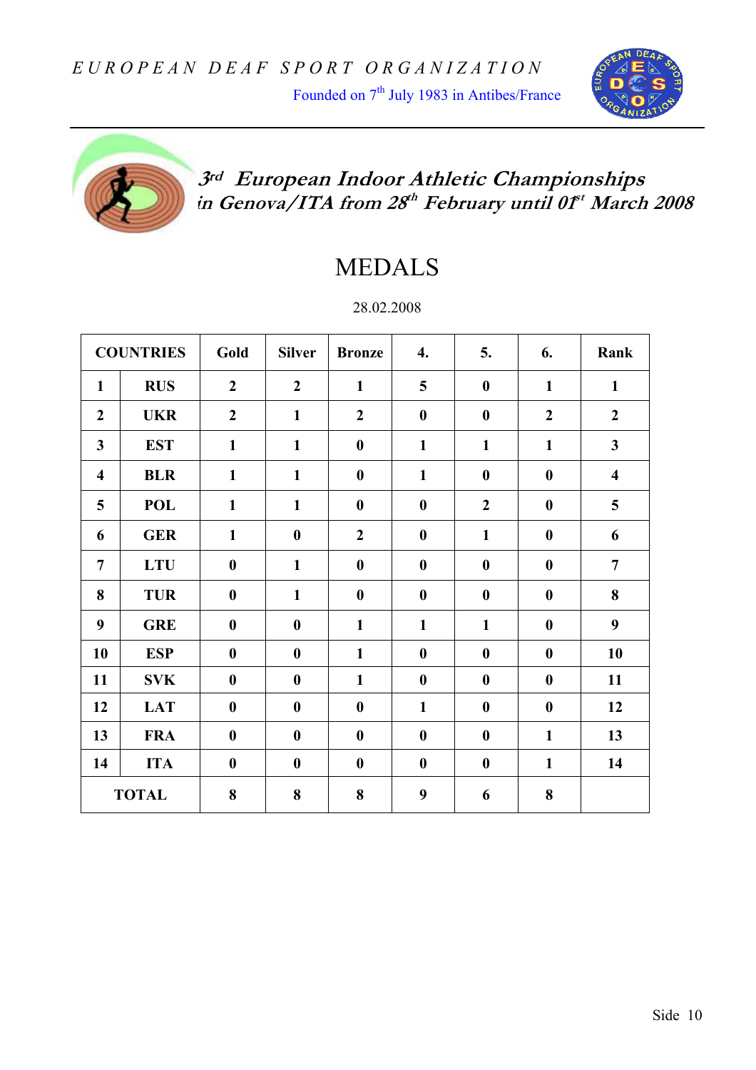Founded on 7<sup>th</sup> July 1983 in Antibes/France





 **3rd European Indoor Athletic Championships in Genova/ITA from 28th February until 01st March 2008** 

# MEDALS

28.02.2008

|                         | <b>COUNTRIES</b> | Gold             | <b>Silver</b>    | <b>Bronze</b>    | 4.               | 5.               | 6.               | Rank                    |
|-------------------------|------------------|------------------|------------------|------------------|------------------|------------------|------------------|-------------------------|
| $\mathbf{1}$            | <b>RUS</b>       | $\overline{2}$   | $\boldsymbol{2}$ | $\mathbf{1}$     | 5                | $\boldsymbol{0}$ | $\mathbf{1}$     | $\mathbf{1}$            |
| $\boldsymbol{2}$        | <b>UKR</b>       | $\overline{2}$   | $\mathbf{1}$     | $\overline{2}$   | $\boldsymbol{0}$ | $\bf{0}$         | $\overline{2}$   | $\overline{2}$          |
| $\overline{\mathbf{3}}$ | <b>EST</b>       | $\mathbf{1}$     | $\mathbf{1}$     | $\boldsymbol{0}$ | $\mathbf{1}$     | $\mathbf{1}$     | $\mathbf{1}$     | $\mathbf{3}$            |
| $\overline{\mathbf{4}}$ | <b>BLR</b>       | $\mathbf{1}$     | $\mathbf{1}$     | $\bf{0}$         | $\mathbf{1}$     | $\boldsymbol{0}$ | $\bf{0}$         | $\overline{\mathbf{4}}$ |
| 5                       | <b>POL</b>       | $\mathbf{1}$     | $\mathbf{1}$     | $\boldsymbol{0}$ | $\boldsymbol{0}$ | $\boldsymbol{2}$ | $\boldsymbol{0}$ | 5                       |
| 6                       | <b>GER</b>       | $\mathbf{1}$     | $\boldsymbol{0}$ | $\overline{2}$   | $\boldsymbol{0}$ | $\mathbf{1}$     | $\boldsymbol{0}$ | 6                       |
| $\overline{7}$          | <b>LTU</b>       | $\boldsymbol{0}$ | $\mathbf{1}$     | $\boldsymbol{0}$ | $\boldsymbol{0}$ | $\boldsymbol{0}$ | $\boldsymbol{0}$ | $\overline{7}$          |
| 8                       | <b>TUR</b>       | $\boldsymbol{0}$ | $\mathbf{1}$     | $\boldsymbol{0}$ | $\boldsymbol{0}$ | $\boldsymbol{0}$ | $\boldsymbol{0}$ | 8                       |
| 9                       | <b>GRE</b>       | $\boldsymbol{0}$ | $\boldsymbol{0}$ | $\mathbf{1}$     | $\mathbf{1}$     | $\mathbf{1}$     | $\boldsymbol{0}$ | 9                       |
| 10                      | <b>ESP</b>       | $\boldsymbol{0}$ | $\boldsymbol{0}$ | $\mathbf{1}$     | $\boldsymbol{0}$ | $\bf{0}$         | $\bf{0}$         | 10                      |
| 11                      | <b>SVK</b>       | $\boldsymbol{0}$ | $\boldsymbol{0}$ | $\mathbf{1}$     | $\boldsymbol{0}$ | $\bf{0}$         | $\boldsymbol{0}$ | 11                      |
| 12                      | <b>LAT</b>       | $\boldsymbol{0}$ | $\bf{0}$         | $\boldsymbol{0}$ | $\mathbf{1}$     | $\bf{0}$         | $\boldsymbol{0}$ | 12                      |
| 13                      | <b>FRA</b>       | $\boldsymbol{0}$ | $\boldsymbol{0}$ | $\boldsymbol{0}$ | $\boldsymbol{0}$ | $\boldsymbol{0}$ | $\mathbf{1}$     | 13                      |
| 14                      | <b>ITA</b>       | $\boldsymbol{0}$ | $\boldsymbol{0}$ | $\boldsymbol{0}$ | $\boldsymbol{0}$ | $\boldsymbol{0}$ | $\mathbf{1}$     | 14                      |
|                         | <b>TOTAL</b>     | 8                | 8                | 8                | 9                | 6                | 8                |                         |